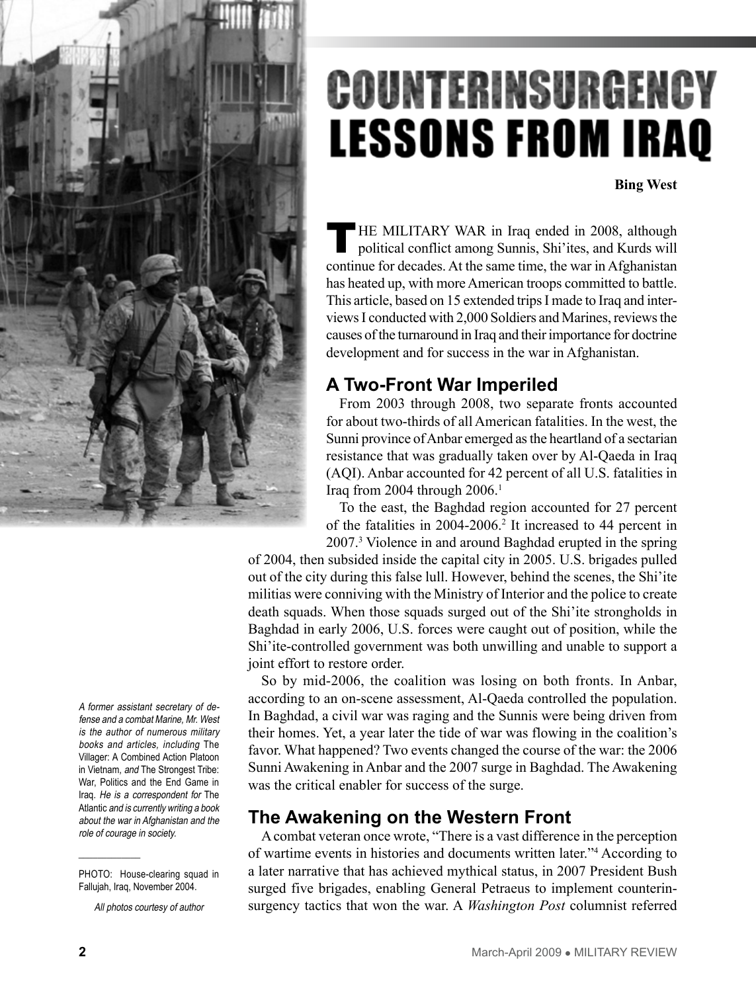

A former assistant secretary of defense and a combat Marine, Mr. West is the author of numerous military books and articles, including The Villager: A Combined Action Platoon in Vietnam, and The Strongest Tribe: War, Politics and the End Game in Iraq. He is a correspondent for The Atlantic and is currently writing a book about the war in Afghanistan and the role of courage in society.

All photos courtesy of author

# COUNTERINSURGENCY **LESSONS FROM IRAQ**

**Bing West**

HE MILITARY WAR in Iraq ended in 2008, although political conflict among Sunnis, Shi'ites, and Kurds will continue for decades. At the same time, the war in Afghanistan has heated up, with more American troops committed to battle. This article, based on 15 extended trips I made to Iraq and interviews I conducted with 2,000 Soldiers and Marines, reviews the causes of the turnaround in Iraq and their importance for doctrine development and for success in the war in Afghanistan.

## **A Two-Front War Imperiled**

From 2003 through 2008, two separate fronts accounted for about two-thirds of all American fatalities. In the west, the Sunni province of Anbar emerged as the heartland of a sectarian resistance that was gradually taken over by Al-Qaeda in Iraq (AQI). Anbar accounted for 42 percent of all U.S. fatalities in Iraq from 2004 through  $2006$ .<sup>1</sup>

To the east, the Baghdad region accounted for 27 percent of the fatalities in 2004-2006.2 It increased to 44 percent in 2007.3 Violence in and around Baghdad erupted in the spring

of 2004, then subsided inside the capital city in 2005. U.S. brigades pulled out of the city during this false lull. However, behind the scenes, the Shi'ite militias were conniving with the Ministry of Interior and the police to create death squads. When those squads surged out of the Shi'ite strongholds in Baghdad in early 2006, U.S. forces were caught out of position, while the Shi'ite-controlled government was both unwilling and unable to support a joint effort to restore order.

So by mid-2006, the coalition was losing on both fronts. In Anbar, according to an on-scene assessment, Al-Qaeda controlled the population. In Baghdad, a civil war was raging and the Sunnis were being driven from their homes. Yet, a year later the tide of war was flowing in the coalition's favor. What happened? Two events changed the course of the war: the 2006 Sunni Awakening in Anbar and the 2007 surge in Baghdad. The Awakening was the critical enabler for success of the surge.

## **The Awakening on the Western Front**

A combat veteran once wrote, "There is a vast difference in the perception of wartime events in histories and documents written later."4 According to a later narrative that has achieved mythical status, in 2007 President Bush surged five brigades, enabling General Petraeus to implement counterinsurgency tactics that won the war. A *Washington Post* columnist referred

PHOTO: House-clearing squad in Fallujah, Iraq, November 2004.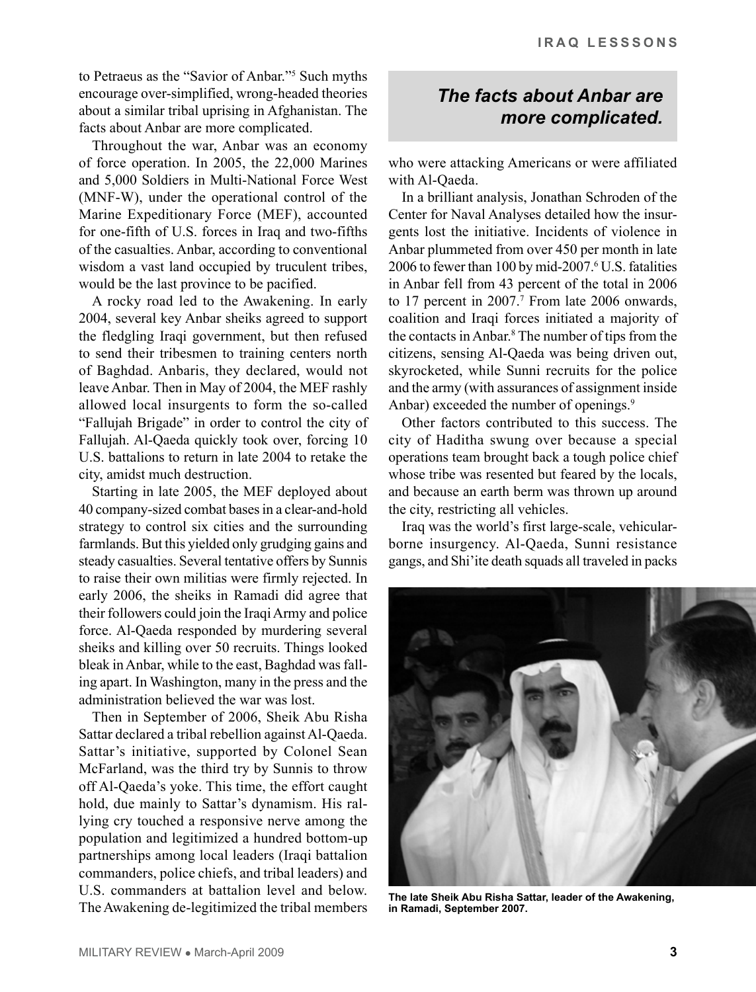to Petraeus as the "Savior of Anbar."5 Such myths encourage over-simplified, wrong-headed theories about a similar tribal uprising in Afghanistan. The facts about Anbar are more complicated.

Throughout the war, Anbar was an economy of force operation. In 2005, the 22,000 Marines and 5,000 Soldiers in Multi-National Force West (MNF-W), under the operational control of the Marine Expeditionary Force (MEF), accounted for one-fifth of U.S. forces in Iraq and two-fifths of the casualties. Anbar, according to conventional wisdom a vast land occupied by truculent tribes, would be the last province to be pacified.

A rocky road led to the Awakening. In early 2004, several key Anbar sheiks agreed to support the fledgling Iraqi government, but then refused to send their tribesmen to training centers north of Baghdad. Anbaris, they declared, would not leave Anbar. Then in May of 2004, the MEF rashly allowed local insurgents to form the so-called "Fallujah Brigade" in order to control the city of Fallujah. Al-Qaeda quickly took over, forcing 10 U.S. battalions to return in late 2004 to retake the city, amidst much destruction.

Starting in late 2005, the MEF deployed about 40 company-sized combat bases in a clear-and-hold strategy to control six cities and the surrounding farmlands. But this yielded only grudging gains and steady casualties. Several tentative offers by Sunnis to raise their own militias were firmly rejected. In early 2006, the sheiks in Ramadi did agree that their followers could join the Iraqi Army and police force. Al-Qaeda responded by murdering several sheiks and killing over 50 recruits. Things looked bleak in Anbar, while to the east, Baghdad was falling apart. In Washington, many in the press and the administration believed the war was lost.

Then in September of 2006, Sheik Abu Risha Sattar declared a tribal rebellion against Al-Qaeda. Sattar's initiative, supported by Colonel Sean McFarland, was the third try by Sunnis to throw off Al-Qaeda's yoke. This time, the effort caught hold, due mainly to Sattar's dynamism. His rallying cry touched a responsive nerve among the population and legitimized a hundred bottom-up partnerships among local leaders (Iraqi battalion commanders, police chiefs, and tribal leaders) and U.S. commanders at battalion level and below. The Awakening de-legitimized the tribal members

## *The facts about Anbar are more complicated.*

who were attacking Americans or were affiliated with Al-Qaeda.

In a brilliant analysis, Jonathan Schroden of the Center for Naval Analyses detailed how the insurgents lost the initiative. Incidents of violence in Anbar plummeted from over 450 per month in late 2006 to fewer than 100 by mid-2007.6 U.S. fatalities in Anbar fell from 43 percent of the total in 2006 to  $17$  percent in  $2007$ .<sup>7</sup> From late  $2006$  onwards, coalition and Iraqi forces initiated a majority of the contacts in Anbar.8 The number of tips from the citizens, sensing Al-Qaeda was being driven out, skyrocketed, while Sunni recruits for the police and the army (with assurances of assignment inside Anbar) exceeded the number of openings.<sup>9</sup>

Other factors contributed to this success. The city of Haditha swung over because a special operations team brought back a tough police chief whose tribe was resented but feared by the locals, and because an earth berm was thrown up around the city, restricting all vehicles.

Iraq was the world's first large-scale, vehicularborne insurgency. Al-Qaeda, Sunni resistance gangs, and Shi'ite death squads all traveled in packs



**The late Sheik Abu Risha Sattar, leader of the Awakening, in Ramadi, September 2007.**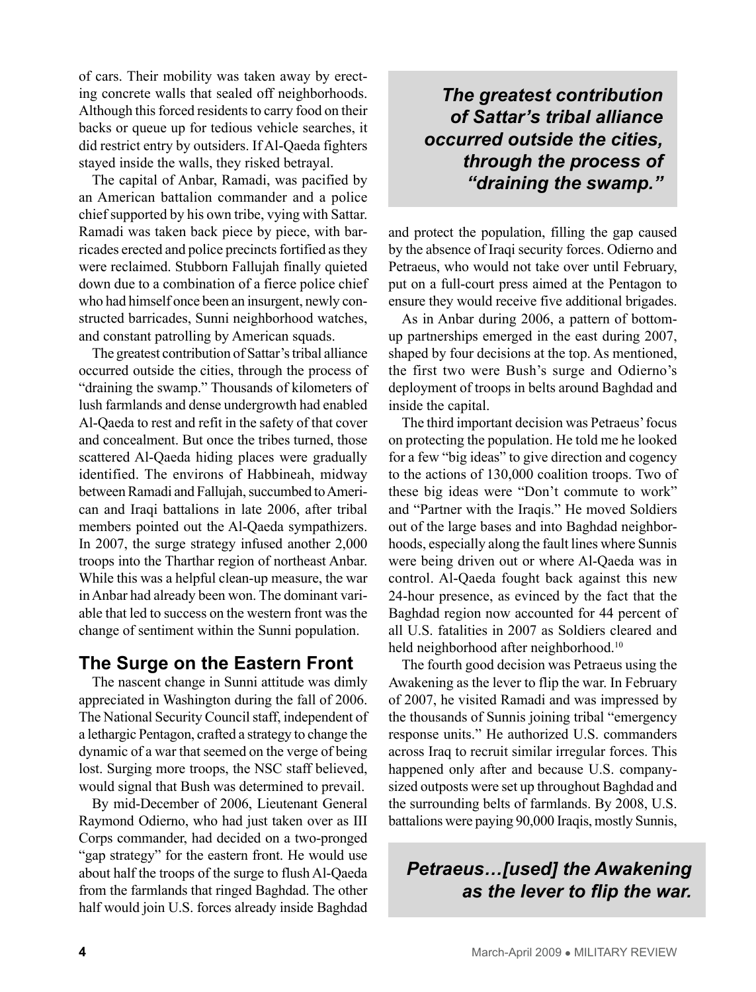of cars. Their mobility was taken away by erecting concrete walls that sealed off neighborhoods. Although this forced residents to carry food on their backs or queue up for tedious vehicle searches, it did restrict entry by outsiders. If Al-Qaeda fighters stayed inside the walls, they risked betrayal.

The capital of Anbar, Ramadi, was pacified by an American battalion commander and a police chief supported by his own tribe, vying with Sattar. Ramadi was taken back piece by piece, with barricades erected and police precincts fortified as they were reclaimed. Stubborn Fallujah finally quieted down due to a combination of a fierce police chief who had himself once been an insurgent, newly constructed barricades, Sunni neighborhood watches, and constant patrolling by American squads.

The greatest contribution of Sattar's tribal alliance occurred outside the cities, through the process of "draining the swamp." Thousands of kilometers of lush farmlands and dense undergrowth had enabled Al-Qaeda to rest and refit in the safety of that cover and concealment. But once the tribes turned, those scattered Al-Qaeda hiding places were gradually identified. The environs of Habbineah, midway between Ramadi and Fallujah, succumbed to American and Iraqi battalions in late 2006, after tribal members pointed out the Al-Qaeda sympathizers. In 2007, the surge strategy infused another 2,000 troops into the Tharthar region of northeast Anbar. While this was a helpful clean-up measure, the war in Anbar had already been won. The dominant variable that led to success on the western front was the change of sentiment within the Sunni population.

#### **The Surge on the Eastern Front**

The nascent change in Sunni attitude was dimly appreciated in Washington during the fall of 2006. The National Security Council staff, independent of a lethargic Pentagon, crafted a strategy to change the dynamic of a war that seemed on the verge of being lost. Surging more troops, the NSC staff believed, would signal that Bush was determined to prevail.

By mid-December of 2006, Lieutenant General Raymond Odierno, who had just taken over as III Corps commander, had decided on a two-pronged "gap strategy" for the eastern front. He would use about half the troops of the surge to flush Al-Qaeda from the farmlands that ringed Baghdad. The other half would join U.S. forces already inside Baghdad

*The greatest contribution of Sattar's tribal alliance occurred outside the cities, through the process of "draining the swamp."*

and protect the population, filling the gap caused by the absence of Iraqi security forces. Odierno and Petraeus, who would not take over until February, put on a full-court press aimed at the Pentagon to ensure they would receive five additional brigades.

As in Anbar during 2006, a pattern of bottomup partnerships emerged in the east during 2007, shaped by four decisions at the top. As mentioned, the first two were Bush's surge and Odierno's deployment of troops in belts around Baghdad and inside the capital.

The third important decision was Petraeus' focus on protecting the population. He told me he looked for a few "big ideas" to give direction and cogency to the actions of 130,000 coalition troops. Two of these big ideas were "Don't commute to work" and "Partner with the Iraqis." He moved Soldiers out of the large bases and into Baghdad neighborhoods, especially along the fault lines where Sunnis were being driven out or where Al-Qaeda was in control. Al-Qaeda fought back against this new 24-hour presence, as evinced by the fact that the Baghdad region now accounted for 44 percent of all U.S. fatalities in 2007 as Soldiers cleared and held neighborhood after neighborhood.<sup>10</sup>

The fourth good decision was Petraeus using the Awakening as the lever to flip the war. In February of 2007, he visited Ramadi and was impressed by the thousands of Sunnis joining tribal "emergency response units." He authorized U.S. commanders across Iraq to recruit similar irregular forces. This happened only after and because U.S. companysized outposts were set up throughout Baghdad and the surrounding belts of farmlands. By 2008, U.S. battalions were paying 90,000 Iraqis, mostly Sunnis,

*Petraeus…[used] the Awakening as the lever to flip the war.*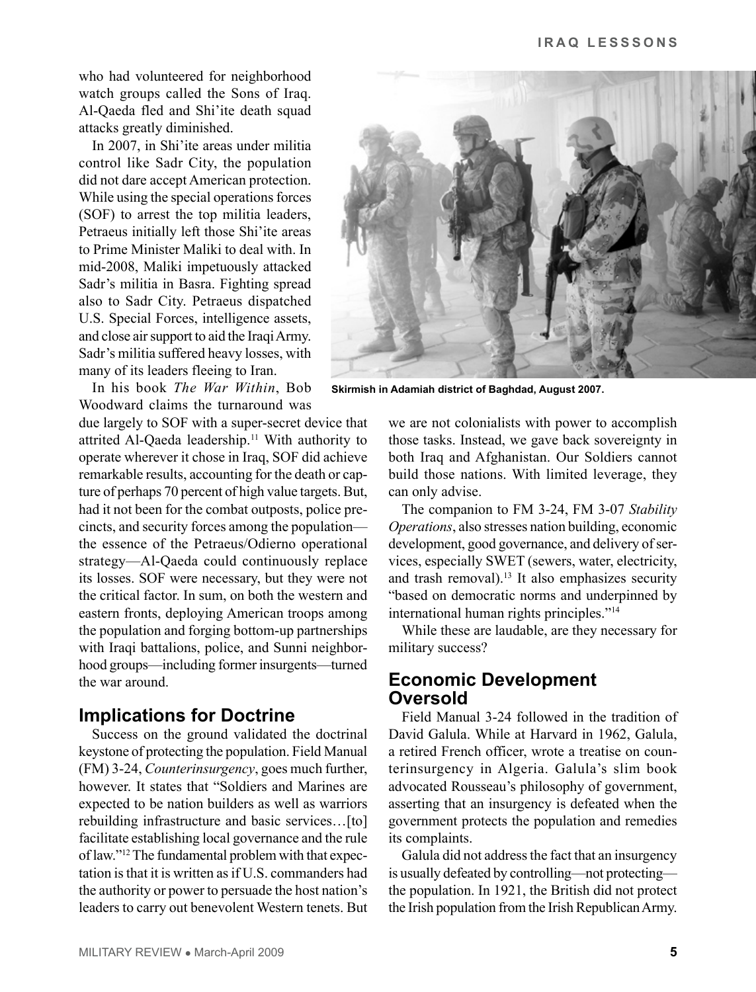who had volunteered for neighborhood watch groups called the Sons of Iraq. Al-Qaeda fled and Shi'ite death squad attacks greatly diminished.

In 2007, in Shi'ite areas under militia control like Sadr City, the population did not dare accept American protection. While using the special operations forces (SOF) to arrest the top militia leaders, Petraeus initially left those Shi'ite areas to Prime Minister Maliki to deal with. In mid-2008, Maliki impetuously attacked Sadr's militia in Basra. Fighting spread also to Sadr City. Petraeus dispatched U.S. Special Forces, intelligence assets, and close air support to aid the Iraqi Army. Sadr's militia suffered heavy losses, with many of its leaders fleeing to Iran.

In his book *The War Within*, Bob Woodward claims the turnaround was

due largely to SOF with a super-secret device that attrited Al-Qaeda leadership.<sup>11</sup> With authority to operate wherever it chose in Iraq, SOF did achieve remarkable results, accounting for the death or capture of perhaps 70 percent of high value targets. But, had it not been for the combat outposts, police precincts, and security forces among the population the essence of the Petraeus/Odierno operational strategy—Al-Qaeda could continuously replace its losses. SOF were necessary, but they were not the critical factor. In sum, on both the western and eastern fronts, deploying American troops among the population and forging bottom-up partnerships with Iraqi battalions, police, and Sunni neighborhood groups—including former insurgents—turned the war around.

#### **Implications for Doctrine**

Success on the ground validated the doctrinal keystone of protecting the population. Field Manual (FM) 3-24, *Counterinsurgency*, goes much further, however. It states that "Soldiers and Marines are expected to be nation builders as well as warriors rebuilding infrastructure and basic services…[to] facilitate establishing local governance and the rule of law."<sup>12</sup> The fundamental problem with that expectation is that it is written as if U.S. commanders had the authority or power to persuade the host nation's leaders to carry out benevolent Western tenets. But



**Skirmish in Adamiah district of Baghdad, August 2007.**

we are not colonialists with power to accomplish those tasks. Instead, we gave back sovereignty in both Iraq and Afghanistan. Our Soldiers cannot build those nations. With limited leverage, they can only advise.

The companion to FM 3-24, FM 3-07 *Stability Operations*, also stresses nation building, economic development, good governance, and delivery of services, especially SWET (sewers, water, electricity, and trash removal).<sup>13</sup> It also emphasizes security "based on democratic norms and underpinned by international human rights principles."14

While these are laudable, are they necessary for military success?

### **Economic Development Oversold**

Field Manual 3-24 followed in the tradition of David Galula. While at Harvard in 1962, Galula, a retired French officer, wrote a treatise on counterinsurgency in Algeria. Galula's slim book advocated Rousseau's philosophy of government, asserting that an insurgency is defeated when the government protects the population and remedies its complaints.

Galula did not address the fact that an insurgency is usually defeated by controlling—not protecting the population. In 1921, the British did not protect the Irish population from the Irish Republican Army.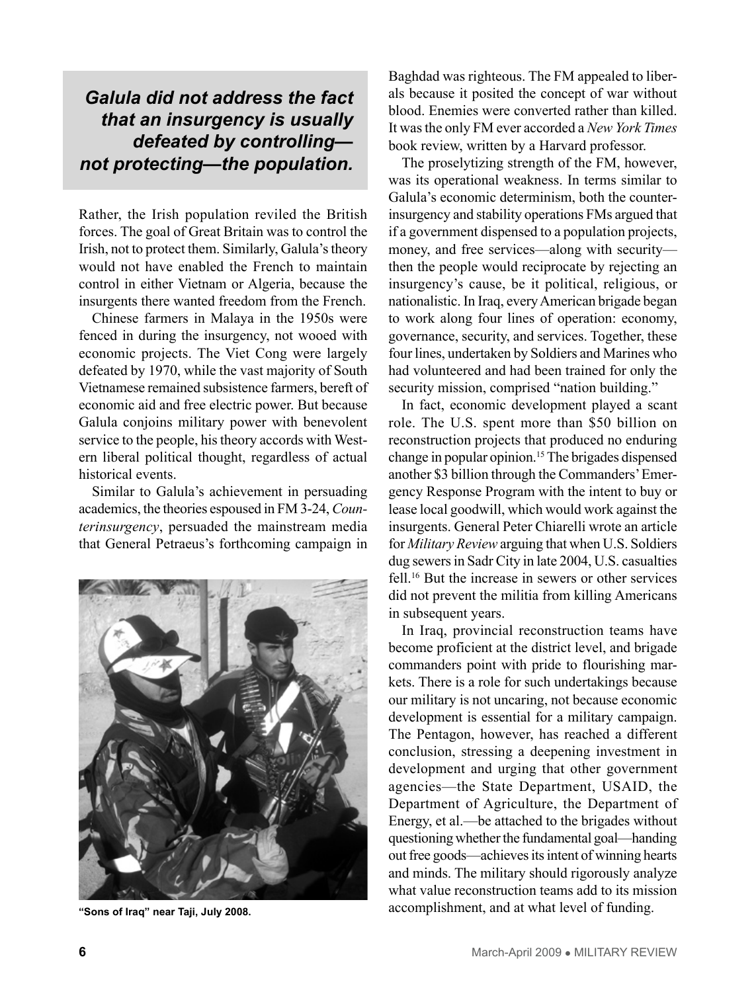## *Galula did not address the fact that an insurgency is usually defeated by controlling not protecting—the population.*

Rather, the Irish population reviled the British forces. The goal of Great Britain was to control the Irish, not to protect them. Similarly, Galula's theory would not have enabled the French to maintain control in either Vietnam or Algeria, because the insurgents there wanted freedom from the French.

Chinese farmers in Malaya in the 1950s were fenced in during the insurgency, not wooed with economic projects. The Viet Cong were largely defeated by 1970, while the vast majority of South Vietnamese remained subsistence farmers, bereft of economic aid and free electric power. But because Galula conjoins military power with benevolent service to the people, his theory accords with Western liberal political thought, regardless of actual historical events.

Similar to Galula's achievement in persuading academics, the theories espoused in FM 3-24, *Counterinsurgency*, persuaded the mainstream media that General Petraeus's forthcoming campaign in



Baghdad was righteous. The FM appealed to liberals because it posited the concept of war without blood. Enemies were converted rather than killed. It was the only FM ever accorded a *New York Times* book review, written by a Harvard professor.

The proselytizing strength of the FM, however, was its operational weakness. In terms similar to Galula's economic determinism, both the counterinsurgency and stability operations FMs argued that if a government dispensed to a population projects, money, and free services—along with security then the people would reciprocate by rejecting an insurgency's cause, be it political, religious, or nationalistic. In Iraq, every American brigade began to work along four lines of operation: economy, governance, security, and services. Together, these four lines, undertaken by Soldiers and Marines who had volunteered and had been trained for only the security mission, comprised "nation building."

In fact, economic development played a scant role. The U.S. spent more than \$50 billion on reconstruction projects that produced no enduring change in popular opinion.15The brigades dispensed another \$3 billion through the Commanders' Emergency Response Program with the intent to buy or lease local goodwill, which would work against the insurgents. General Peter Chiarelli wrote an article for *Military Review* arguing that when U.S. Soldiers dug sewers in Sadr City in late 2004, U.S. casualties fell.16 But the increase in sewers or other services did not prevent the militia from killing Americans in subsequent years.

In Iraq, provincial reconstruction teams have become proficient at the district level, and brigade commanders point with pride to flourishing markets. There is a role for such undertakings because our military is not uncaring, not because economic development is essential for a military campaign. The Pentagon, however, has reached a different conclusion, stressing a deepening investment in development and urging that other government agencies—the State Department, USAID, the Department of Agriculture, the Department of Energy, et al.—be attached to the brigades without questioning whether the fundamental goal—handing out free goods—achieves its intent of winning hearts and minds. The military should rigorously analyze what value reconstruction teams add to its mission accomplishment, and at what level of funding. **"Sons of Iraq" near Taji, July 2008.**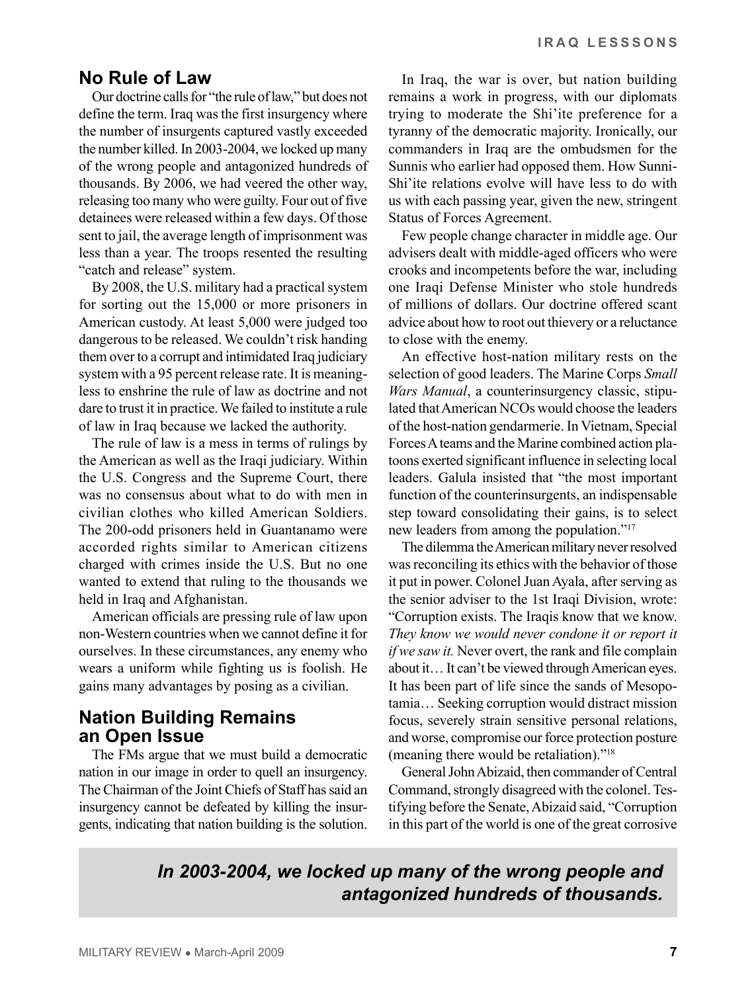#### **No Rule of Law**

Our doctrine calls for "the rule of law," but does not define the term. Iraq was the first insurgency where the number of insurgents captured vastly exceeded the number killed. In 2003-2004, we locked up many of the wrong people and antagonized hundreds of thousands. By 2006, we had veered the other way, releasing too many who were guilty. Four out of five detainees were released within a few days. Of those sent to jail, the average length of imprisonment was less than a year. The troops resented the resulting "catch and release" system.

By 2008, the U.S. military had a practical system for sorting out the 15,000 or more prisoners in American custody. At least 5,000 were judged too dangerous to be released. We couldn't risk handing them over to a corrupt and intimidated Iraq judiciary system with a 95 percent release rate. It is meaningless to enshrine the rule of law as doctrine and not dare to trust it in practice. We failed to institute a rule of law in Iraq because we lacked the authority.

The rule of law is a mess in terms of rulings by the American as well as the Iraqi judiciary. Within the U.S. Congress and the Supreme Court, there was no consensus about what to do with men in civilian clothes who killed American Soldiers. The 200-odd prisoners held in Guantanamo were accorded rights similar to American citizens charged with crimes inside the U.S. But no one wanted to extend that ruling to the thousands we held in Iraq and Afghanistan.

American officials are pressing rule of law upon non-Western countries when we cannot define it for ourselves. In these circumstances, any enemy who wears a uniform while fighting us is foolish. He gains many advantages by posing as a civilian.

#### **Nation building Remains an Open Issue**

The FMs argue that we must build a democratic nation in our image in order to quell an insurgency. The Chairman of the Joint Chiefs of Staff has said an insurgency cannot be defeated by killing the insurgents, indicating that nation building is the solution.

In Iraq, the war is over, but nation building remains a work in progress, with our diplomats trying to moderate the Shi'ite preference for a tyranny of the democratic majority. Ironically, our commanders in Iraq are the ombudsmen for the Sunnis who earlier had opposed them. How Sunni-Shi'ite relations evolve will have less to do with us with each passing year, given the new, stringent Status of Forces Agreement.

Few people change character in middle age. Our advisers dealt with middle-aged officers who were crooks and incompetents before the war, including one Iraqi Defense Minister who stole hundreds of millions of dollars. Our doctrine offered scant advice about how to root out thievery or a reluctance to close with the enemy.

An effective host-nation military rests on the selection of good leaders. The Marine Corps *Small Wars Manual*, a counterinsurgency classic, stipulated that American NCOs would choose the leaders of the host-nation gendarmerie. In Vietnam, Special Forces A teams and the Marine combined action platoons exerted significant influence in selecting local leaders. Galula insisted that "the most important function of the counterinsurgents, an indispensable step toward consolidating their gains, is to select new leaders from among the population."17

The dilemma the American military never resolved was reconciling its ethics with the behavior of those it put in power. Colonel Juan Ayala, after serving as the senior adviser to the 1st Iraqi Division, wrote: "Corruption exists. The Iraqis know that we know. *They know we would never condone it or report it if we saw it.* Never overt, the rank and file complain about it… It can't be viewed through American eyes. It has been part of life since the sands of Mesopotamia… Seeking corruption would distract mission focus, severely strain sensitive personal relations, and worse, compromise our force protection posture (meaning there would be retaliation)."18

General John Abizaid, then commander of Central Command, strongly disagreed with the colonel. Testifying before the Senate, Abizaid said, "Corruption in this part of the world is one of the great corrosive

## *In 2003-2004, we locked up many of the wrong people and antagonized hundreds of thousands.*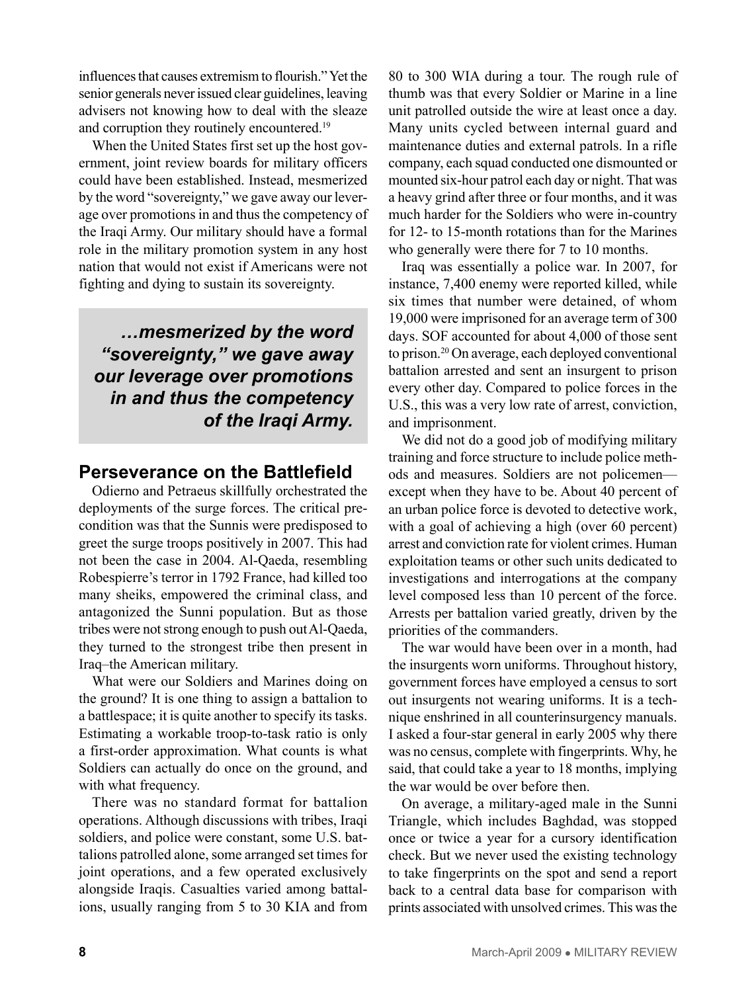influences that causes extremism to flourish." Yet the senior generals never issued clear guidelines, leaving advisers not knowing how to deal with the sleaze and corruption they routinely encountered.<sup>19</sup>

When the United States first set up the host government, joint review boards for military officers could have been established. Instead, mesmerized by the word "sovereignty," we gave away our leverage over promotions in and thus the competency of the Iraqi Army. Our military should have a formal role in the military promotion system in any host nation that would not exist if Americans were not fighting and dying to sustain its sovereignty.

*…mesmerized by the word "sovereignty," we gave away our leverage over promotions in and thus the competency of the Iraqi Army.*

#### **Perseverance on the Battlefield**

Odierno and Petraeus skillfully orchestrated the deployments of the surge forces. The critical precondition was that the Sunnis were predisposed to greet the surge troops positively in 2007. This had not been the case in 2004. Al-Qaeda, resembling Robespierre's terror in 1792 France, had killed too many sheiks, empowered the criminal class, and antagonized the Sunni population. But as those tribes were not strong enough to push out Al-Qaeda, they turned to the strongest tribe then present in Iraq–the American military.

What were our Soldiers and Marines doing on the ground? It is one thing to assign a battalion to a battlespace; it is quite another to specify its tasks. Estimating a workable troop-to-task ratio is only a first-order approximation. What counts is what Soldiers can actually do once on the ground, and with what frequency.

There was no standard format for battalion operations. Although discussions with tribes, Iraqi soldiers, and police were constant, some U.S. battalions patrolled alone, some arranged set times for joint operations, and a few operated exclusively alongside Iraqis. Casualties varied among battalions, usually ranging from 5 to 30 KIA and from

80 to 300 WIA during a tour. The rough rule of thumb was that every Soldier or Marine in a line unit patrolled outside the wire at least once a day. Many units cycled between internal guard and maintenance duties and external patrols. In a rifle company, each squad conducted one dismounted or mounted six-hour patrol each day or night. That was a heavy grind after three or four months, and it was much harder for the Soldiers who were in-country for 12- to 15-month rotations than for the Marines who generally were there for 7 to 10 months.

Iraq was essentially a police war. In 2007, for instance, 7,400 enemy were reported killed, while six times that number were detained, of whom 19,000 were imprisoned for an average term of 300 days. SOF accounted for about 4,000 of those sent to prison.20 On average, each deployed conventional battalion arrested and sent an insurgent to prison every other day. Compared to police forces in the U.S., this was a very low rate of arrest, conviction, and imprisonment.

We did not do a good job of modifying military training and force structure to include police methods and measures. Soldiers are not policemen except when they have to be. About 40 percent of an urban police force is devoted to detective work, with a goal of achieving a high (over 60 percent) arrest and conviction rate for violent crimes. Human exploitation teams or other such units dedicated to investigations and interrogations at the company level composed less than 10 percent of the force. Arrests per battalion varied greatly, driven by the priorities of the commanders.

The war would have been over in a month, had the insurgents worn uniforms. Throughout history, government forces have employed a census to sort out insurgents not wearing uniforms. It is a technique enshrined in all counterinsurgency manuals. I asked a four-star general in early 2005 why there was no census, complete with fingerprints. Why, he said, that could take a year to 18 months, implying the war would be over before then.

On average, a military-aged male in the Sunni Triangle, which includes Baghdad, was stopped once or twice a year for a cursory identification check. But we never used the existing technology to take fingerprints on the spot and send a report back to a central data base for comparison with prints associated with unsolved crimes. This was the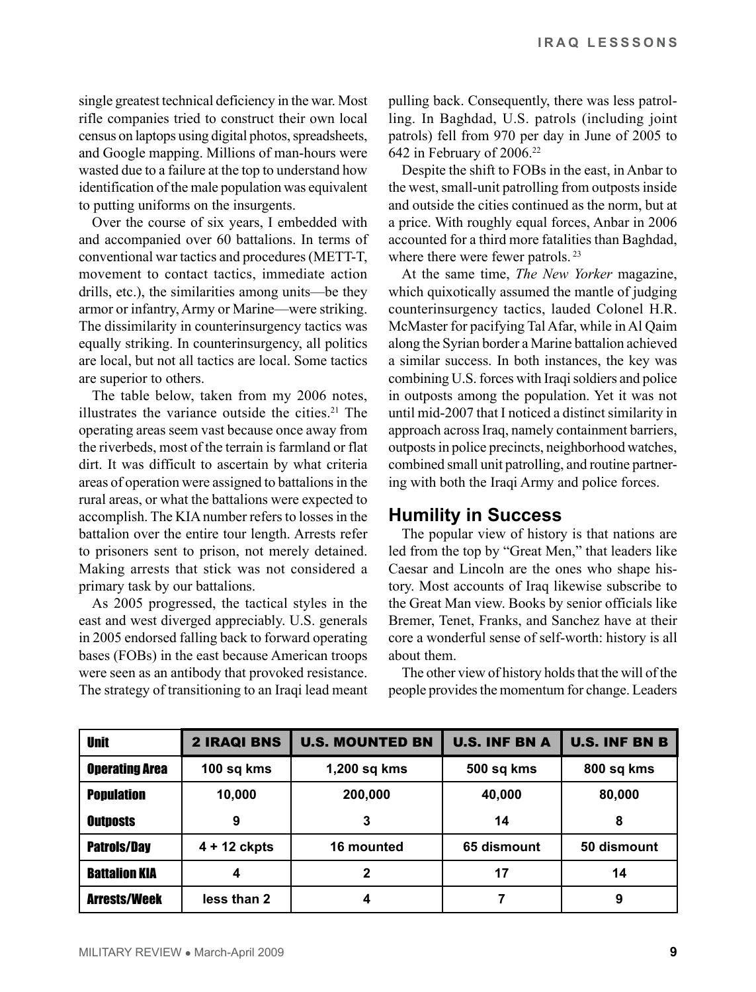single greatest technical deficiency in the war. Most rifle companies tried to construct their own local census on laptops using digital photos, spreadsheets, and Google mapping. Millions of man-hours were wasted due to a failure at the top to understand how identification of the male population was equivalent to putting uniforms on the insurgents.

Over the course of six years, I embedded with and accompanied over 60 battalions. In terms of conventional war tactics and procedures (METT-T, movement to contact tactics, immediate action drills, etc.), the similarities among units—be they armor or infantry, Army or Marine—were striking. The dissimilarity in counterinsurgency tactics was equally striking. In counterinsurgency, all politics are local, but not all tactics are local. Some tactics are superior to others.

The table below, taken from my 2006 notes, illustrates the variance outside the cities. $21$  The operating areas seem vast because once away from the riverbeds, most of the terrain is farmland or flat dirt. It was difficult to ascertain by what criteria areas of operation were assigned to battalions in the rural areas, or what the battalions were expected to accomplish. The KIA number refers to losses in the battalion over the entire tour length. Arrests refer to prisoners sent to prison, not merely detained. Making arrests that stick was not considered a primary task by our battalions.

As 2005 progressed, the tactical styles in the east and west diverged appreciably. U.S. generals in 2005 endorsed falling back to forward operating bases (FOBs) in the east because American troops were seen as an antibody that provoked resistance. The strategy of transitioning to an Iraqi lead meant pulling back. Consequently, there was less patrolling. In Baghdad, U.S. patrols (including joint patrols) fell from 970 per day in June of 2005 to 642 in February of 2006.22

Despite the shift to FOBs in the east, in Anbar to the west, small-unit patrolling from outposts inside and outside the cities continued as the norm, but at a price. With roughly equal forces, Anbar in 2006 accounted for a third more fatalities than Baghdad, where there were fewer patrols.<sup>23</sup>

At the same time, *The New Yorker* magazine, which quixotically assumed the mantle of judging counterinsurgency tactics, lauded Colonel H.R. McMaster for pacifying Tal Afar, while in Al Qaim along the Syrian border a Marine battalion achieved a similar success. In both instances, the key was combining U.S. forces with Iraqi soldiers and police in outposts among the population. Yet it was not until mid-2007 that I noticed a distinct similarity in approach across Iraq, namely containment barriers, outposts in police precincts, neighborhood watches, combined small unit patrolling, and routine partnering with both the Iraqi Army and police forces.

#### **Humility in Success**

The popular view of history is that nations are led from the top by "Great Men," that leaders like Caesar and Lincoln are the ones who shape history. Most accounts of Iraq likewise subscribe to the Great Man view. Books by senior officials like Bremer, Tenet, Franks, and Sanchez have at their core a wonderful sense of self-worth: history is all about them.

The other view of history holds that the will of the people provides the momentum for change. Leaders

| <b>Unit</b>           | <b>2 IRAQI BNS</b> | <b>U.S. MOUNTED BN</b> | <b>U.S. INF BN A</b> | <b>U.S. INF BN B</b> |
|-----------------------|--------------------|------------------------|----------------------|----------------------|
| <b>Operating Area</b> | 100 sq kms         | 1,200 sq kms           | 500 sq kms           | 800 sq kms           |
| <b>Population</b>     | 10,000             | 200,000                | 40,000               | 80,000               |
| <b>Outposts</b>       | 9                  | 3                      | 14                   | 8                    |
| <b>Patrols/Day</b>    | $4 + 12$ ckpts     | 16 mounted             | 65 dismount          | 50 dismount          |
| <b>Battalion KIA</b>  | 4                  | 2                      | 17                   | 14                   |
| <b>Arrests/Week</b>   | less than 2        | 4                      |                      | 9                    |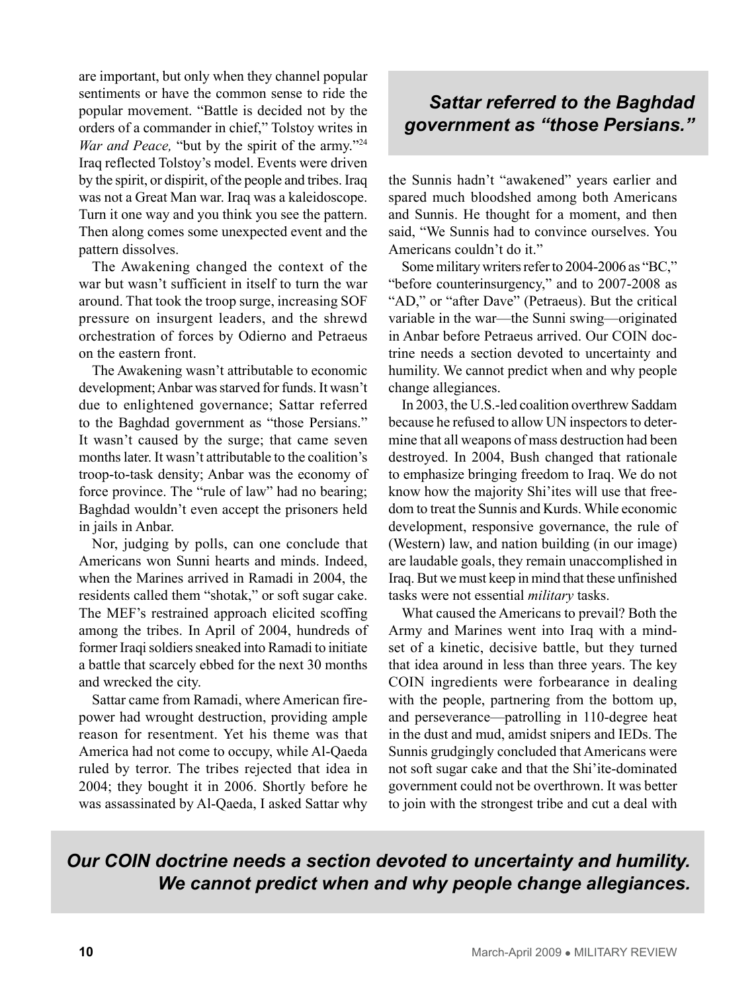are important, but only when they channel popular sentiments or have the common sense to ride the popular movement. "Battle is decided not by the orders of a commander in chief," Tolstoy writes in *War and Peace,* "but by the spirit of the army."<sup>24</sup> Iraq reflected Tolstoy's model. Events were driven by the spirit, or dispirit, of the people and tribes. Iraq was not a Great Man war. Iraq was a kaleidoscope. Turn it one way and you think you see the pattern. Then along comes some unexpected event and the pattern dissolves.

The Awakening changed the context of the war but wasn't sufficient in itself to turn the war around. That took the troop surge, increasing SOF pressure on insurgent leaders, and the shrewd orchestration of forces by Odierno and Petraeus on the eastern front.

The Awakening wasn't attributable to economic development; Anbar was starved for funds. It wasn't due to enlightened governance; Sattar referred to the Baghdad government as "those Persians." It wasn't caused by the surge; that came seven months later. It wasn't attributable to the coalition's troop-to-task density; Anbar was the economy of force province. The "rule of law" had no bearing; Baghdad wouldn't even accept the prisoners held in jails in Anbar.

Nor, judging by polls, can one conclude that Americans won Sunni hearts and minds. Indeed, when the Marines arrived in Ramadi in 2004, the residents called them "shotak," or soft sugar cake. The MEF's restrained approach elicited scoffing among the tribes. In April of 2004, hundreds of former Iraqi soldiers sneaked into Ramadi to initiate a battle that scarcely ebbed for the next 30 months and wrecked the city.

Sattar came from Ramadi, where American firepower had wrought destruction, providing ample reason for resentment. Yet his theme was that America had not come to occupy, while Al-Qaeda ruled by terror. The tribes rejected that idea in 2004; they bought it in 2006. Shortly before he was assassinated by Al-Qaeda, I asked Sattar why

## *Sattar referred to the Baghdad government as "those Persians."*

the Sunnis hadn't "awakened" years earlier and spared much bloodshed among both Americans and Sunnis. He thought for a moment, and then said, "We Sunnis had to convince ourselves. You Americans couldn't do it."

Some military writers refer to 2004-2006 as "BC," "before counterinsurgency," and to 2007-2008 as "AD," or "after Dave" (Petraeus). But the critical variable in the war—the Sunni swing—originated in Anbar before Petraeus arrived. Our COIN doctrine needs a section devoted to uncertainty and humility. We cannot predict when and why people change allegiances.

In 2003, the U.S.-led coalition overthrew Saddam because he refused to allow UN inspectors to determine that all weapons of mass destruction had been destroyed. In 2004, Bush changed that rationale to emphasize bringing freedom to Iraq. We do not know how the majority Shi'ites will use that freedom to treat the Sunnis and Kurds. While economic development, responsive governance, the rule of (Western) law, and nation building (in our image) are laudable goals, they remain unaccomplished in Iraq. But we must keep in mind that these unfinished tasks were not essential *military* tasks.

What caused the Americans to prevail? Both the Army and Marines went into Iraq with a mindset of a kinetic, decisive battle, but they turned that idea around in less than three years. The key COIN ingredients were forbearance in dealing with the people, partnering from the bottom up, and perseverance—patrolling in 110-degree heat in the dust and mud, amidst snipers and IEDs. The Sunnis grudgingly concluded that Americans were not soft sugar cake and that the Shi'ite-dominated government could not be overthrown. It was better to join with the strongest tribe and cut a deal with

## *Our COIN doctrine needs a section devoted to uncertainty and humility. We cannot predict when and why people change allegiances.*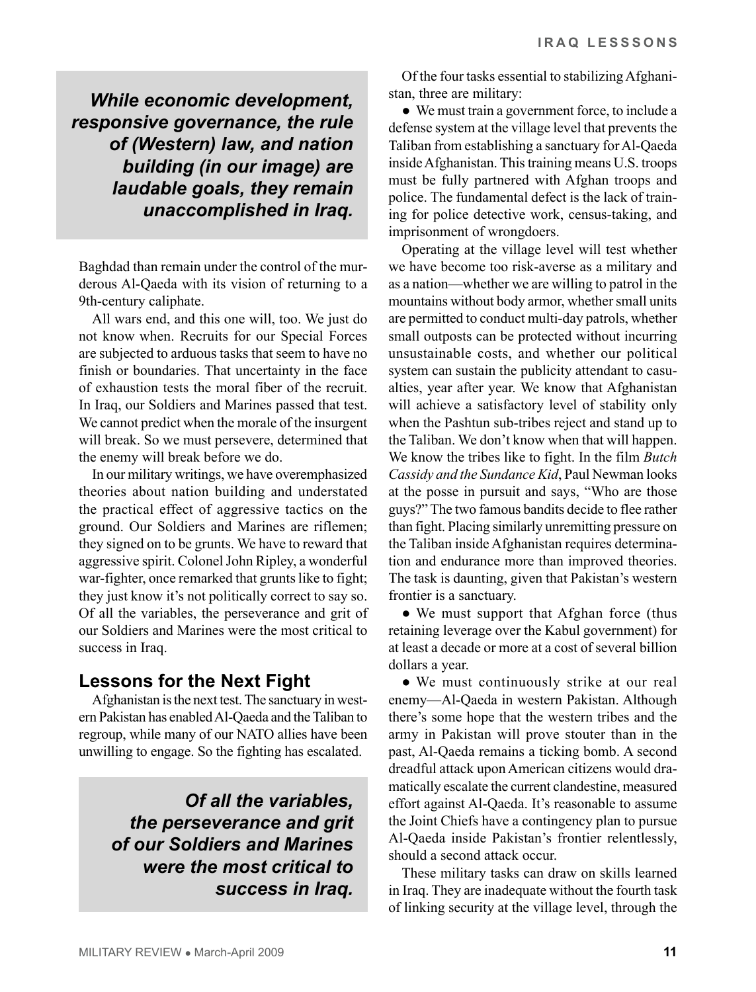*While economic development, responsive governance, the rule of (Western) law, and nation building (in our image) are laudable goals, they remain unaccomplished in Iraq.* 

Baghdad than remain under the control of the murderous Al-Qaeda with its vision of returning to a 9th-century caliphate.

All wars end, and this one will, too. We just do not know when. Recruits for our Special Forces are subjected to arduous tasks that seem to have no finish or boundaries. That uncertainty in the face of exhaustion tests the moral fiber of the recruit. In Iraq, our Soldiers and Marines passed that test. We cannot predict when the morale of the insurgent will break. So we must persevere, determined that the enemy will break before we do.

In our military writings, we have overemphasized theories about nation building and understated the practical effect of aggressive tactics on the ground. Our Soldiers and Marines are riflemen; they signed on to be grunts. We have to reward that aggressive spirit. Colonel John Ripley, a wonderful war-fighter, once remarked that grunts like to fight; they just know it's not politically correct to say so. Of all the variables, the perseverance and grit of our Soldiers and Marines were the most critical to success in Iraq.

## **Lessons for the Next Fight**

Afghanistan is the next test. The sanctuary in western Pakistan has enabled Al-Qaeda and the Taliban to regroup, while many of our NATO allies have been unwilling to engage. So the fighting has escalated.

> *Of all the variables, the perseverance and grit of our Soldiers and Marines were the most critical to success in Iraq.*

Of the four tasks essential to stabilizing Afghanistan, three are military:

● We must train a government force, to include a defense system at the village level that prevents the Taliban from establishing a sanctuary for Al-Qaeda inside Afghanistan. This training means U.S. troops must be fully partnered with Afghan troops and police. The fundamental defect is the lack of training for police detective work, census-taking, and imprisonment of wrongdoers.

Operating at the village level will test whether we have become too risk-averse as a military and as a nation—whether we are willing to patrol in the mountains without body armor, whether small units are permitted to conduct multi-day patrols, whether small outposts can be protected without incurring unsustainable costs, and whether our political system can sustain the publicity attendant to casualties, year after year. We know that Afghanistan will achieve a satisfactory level of stability only when the Pashtun sub-tribes reject and stand up to the Taliban. We don't know when that will happen. We know the tribes like to fight. In the film *Butch Cassidy and the Sundance Kid*, Paul Newman looks at the posse in pursuit and says, "Who are those guys?" The two famous bandits decide to flee rather than fight. Placing similarly unremitting pressure on the Taliban inside Afghanistan requires determination and endurance more than improved theories. The task is daunting, given that Pakistan's western frontier is a sanctuary.

• We must support that Afghan force (thus retaining leverage over the Kabul government) for at least a decade or more at a cost of several billion dollars a year.

● We must continuously strike at our real enemy—Al-Qaeda in western Pakistan. Although there's some hope that the western tribes and the army in Pakistan will prove stouter than in the past, Al-Qaeda remains a ticking bomb. A second dreadful attack upon American citizens would dramatically escalate the current clandestine, measured effort against Al-Qaeda. It's reasonable to assume the Joint Chiefs have a contingency plan to pursue Al-Qaeda inside Pakistan's frontier relentlessly, should a second attack occur.

These military tasks can draw on skills learned in Iraq. They are inadequate without the fourth task of linking security at the village level, through the